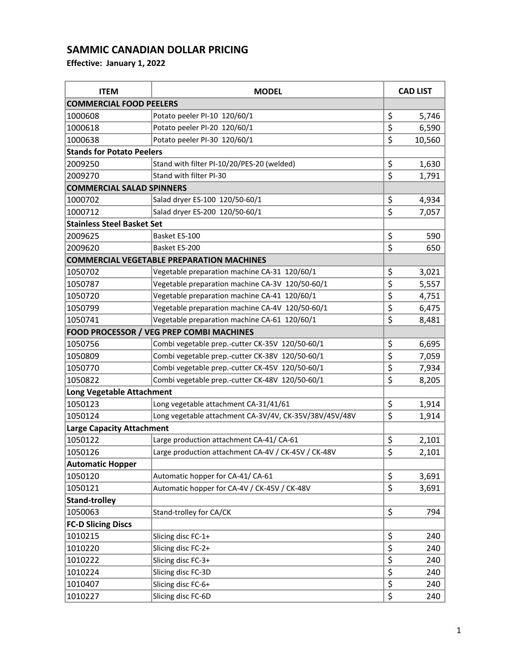| <b>ITEM</b>                       | <b>MODEL</b>                                           |                                 | <b>CAD LIST</b> |  |
|-----------------------------------|--------------------------------------------------------|---------------------------------|-----------------|--|
| <b>COMMERCIAL FOOD PEELERS</b>    |                                                        |                                 |                 |  |
| 1000608                           | Potato peeler PI-10 120/60/1                           | \$                              | 5,746           |  |
| 1000618                           | Potato peeler PI-20 120/60/1                           | \$                              | 6,590           |  |
| 1000638                           | Potato peeler PI-30 120/60/1                           | \$                              | 10,560          |  |
| <b>Stands for Potato Peelers</b>  |                                                        |                                 |                 |  |
| 2009250                           | Stand with filter PI-10/20/PES-20 (welded)             | \$                              | 1,630           |  |
| 2009270                           | Stand with filter PI-30                                | $\overline{\boldsymbol{\zeta}}$ | 1,791           |  |
| <b>COMMERCIAL SALAD SPINNERS</b>  |                                                        |                                 |                 |  |
| 1000702                           | Salad dryer ES-100 120/50-60/1                         | \$                              | 4,934           |  |
| 1000712                           | Salad dryer ES-200 120/50-60/1                         | \$                              | 7,057           |  |
| <b>Stainless Steel Basket Set</b> |                                                        |                                 |                 |  |
| 2009625                           | Basket ES-100                                          | \$                              | 590             |  |
| 2009620                           | Basket ES-200                                          | $\overline{\boldsymbol{\zeta}}$ | 650             |  |
|                                   | <b>COMMERCIAL VEGETABLE PREPARATION MACHINES</b>       |                                 |                 |  |
| 1050702                           | Vegetable preparation machine CA-31 120/60/1           | \$                              | 3,021           |  |
| 1050787                           | Vegetable preparation machine CA-3V 120/50-60/1        | \$                              | 5,557           |  |
| 1050720                           | Vegetable preparation machine CA-41 120/60/1           | \$                              | 4,751           |  |
| 1050799                           | Vegetable preparation machine CA-4V 120/50-60/1        | \$                              | 6,475           |  |
| 1050741                           | Vegetable preparation machine CA-61 120/60/1           | \$                              | 8,481           |  |
|                                   | <b>FOOD PROCESSOR / VEG PREP COMBI MACHINES</b>        |                                 |                 |  |
| 1050756                           | Combi vegetable prep.-cutter CK-35V 120/50-60/1        | \$                              | 6,695           |  |
| 1050809                           | Combi vegetable prep.-cutter CK-38V 120/50-60/1        | \$                              | 7,059           |  |
| 1050770                           | Combi vegetable prep.-cutter CK-45V 120/50-60/1        | \$                              | 7,934           |  |
| 1050822                           | Combi vegetable prep.-cutter CK-48V 120/50-60/1        | \$                              | 8,205           |  |
| <b>Long Vegetable Attachment</b>  |                                                        |                                 |                 |  |
| 1050123                           | Long vegetable attachment CA-31/41/61                  | \$                              | 1,914           |  |
| 1050124                           | Long vegetable attachment CA-3V/4V, CK-35V/38V/45V/48V | \$                              | 1,914           |  |
| <b>Large Capacity Attachment</b>  |                                                        |                                 |                 |  |
| 1050122                           | Large production attachment CA-41/CA-61                | \$                              | 2,101           |  |
| 1050126                           | Large production attachment CA-4V / CK-45V / CK-48V    | \$                              | 2,101           |  |
| <b>Automatic Hopper</b>           |                                                        |                                 |                 |  |
| 1050120                           | Automatic hopper for CA-41/CA-61                       | \$                              | 3,691           |  |
| 1050121                           | Automatic hopper for CA-4V / CK-45V / CK-48V           | \$                              | 3,691           |  |
| <b>Stand-trolley</b>              |                                                        |                                 |                 |  |
| 1050063                           | Stand-trolley for CA/CK                                | \$                              | 794             |  |
| <b>FC-D Slicing Discs</b>         |                                                        |                                 |                 |  |
| 1010215                           | Slicing disc FC-1+                                     | \$                              | 240             |  |
| 1010220                           | Slicing disc FC-2+                                     | $\overline{\boldsymbol{\zeta}}$ | 240             |  |
| 1010222                           | Slicing disc FC-3+                                     | \$                              | 240             |  |
| 1010224                           | Slicing disc FC-3D                                     | \$                              | 240             |  |
| 1010407                           | Slicing disc FC-6+                                     | \$                              | 240             |  |
| 1010227                           | Slicing disc FC-6D                                     | \$                              | 240             |  |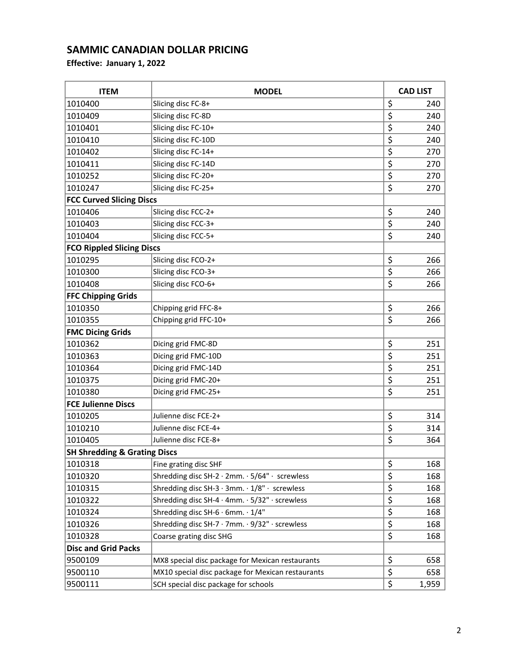| <b>ITEM</b>                             | <b>MODEL</b>                                      | <b>CAD LIST</b>                 |       |
|-----------------------------------------|---------------------------------------------------|---------------------------------|-------|
| 1010400                                 | Slicing disc FC-8+                                | \$                              | 240   |
| 1010409                                 | Slicing disc FC-8D                                | \$                              | 240   |
| 1010401                                 | Slicing disc FC-10+                               | \$                              | 240   |
| 1010410                                 | Slicing disc FC-10D                               | \$                              | 240   |
| 1010402                                 | Slicing disc FC-14+                               | \$                              | 270   |
| 1010411                                 | Slicing disc FC-14D                               | \$                              | 270   |
| 1010252                                 | Slicing disc FC-20+                               | \$                              | 270   |
| 1010247                                 | Slicing disc FC-25+                               | \$                              | 270   |
| <b>FCC Curved Slicing Discs</b>         |                                                   |                                 |       |
| 1010406                                 | Slicing disc FCC-2+                               | \$                              | 240   |
| 1010403                                 | Slicing disc FCC-3+                               | \$                              | 240   |
| 1010404                                 | Slicing disc FCC-5+                               | \$                              | 240   |
| <b>FCO Rippled Slicing Discs</b>        |                                                   |                                 |       |
| 1010295                                 | Slicing disc FCO-2+                               | \$                              | 266   |
| 1010300                                 | Slicing disc FCO-3+                               | \$                              | 266   |
| 1010408                                 | Slicing disc FCO-6+                               | \$                              | 266   |
| <b>FFC Chipping Grids</b>               |                                                   |                                 |       |
| 1010350                                 | Chipping grid FFC-8+                              | \$                              | 266   |
| 1010355                                 | Chipping grid FFC-10+                             | \$                              | 266   |
| <b>FMC Dicing Grids</b>                 |                                                   |                                 |       |
| 1010362                                 | Dicing grid FMC-8D                                | \$                              | 251   |
| 1010363                                 | Dicing grid FMC-10D                               | \$                              | 251   |
| 1010364                                 | Dicing grid FMC-14D                               | \$                              | 251   |
| 1010375                                 | Dicing grid FMC-20+                               | \$                              | 251   |
| 1010380                                 | Dicing grid FMC-25+                               | \$                              | 251   |
| <b>FCE Julienne Discs</b>               |                                                   |                                 |       |
| 1010205                                 | Julienne disc FCE-2+                              | \$                              | 314   |
| 1010210                                 | Julienne disc FCE-4+                              | \$                              | 314   |
| 1010405                                 | Julienne disc FCE-8+                              | \$                              | 364   |
| <b>SH Shredding &amp; Grating Discs</b> |                                                   |                                 |       |
| 1010318                                 | Fine grating disc SHF                             | \$                              | 168   |
| 1010320                                 | Shredding disc SH-2 · 2mm. · 5/64" · screwless    | \$                              | 168   |
| 1010315                                 | Shredding disc SH-3 · 3mm. · 1/8" · screwless     | $\overline{\boldsymbol{\zeta}}$ | 168   |
| 1010322                                 | Shredding disc SH-4 · 4mm. · 5/32" · screwless    | \$                              | 168   |
| 1010324                                 | Shredding disc SH-6 $\cdot$ 6mm. $\cdot$ 1/4"     | \$                              | 168   |
| 1010326                                 | Shredding disc SH-7 · 7mm. · 9/32" · screwless    | \$                              | 168   |
| 1010328                                 | Coarse grating disc SHG                           | \$                              | 168   |
| <b>Disc and Grid Packs</b>              |                                                   |                                 |       |
| 9500109                                 | MX8 special disc package for Mexican restaurants  | \$                              | 658   |
| 9500110                                 | MX10 special disc package for Mexican restaurants | \$                              | 658   |
| 9500111                                 | SCH special disc package for schools              | \$                              | 1,959 |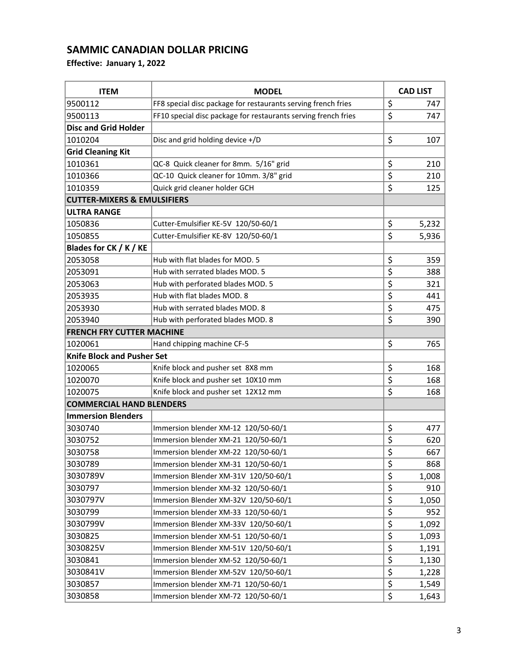| <b>ITEM</b>                            | <b>MODEL</b>                                                   | <b>CAD LIST</b>  |       |
|----------------------------------------|----------------------------------------------------------------|------------------|-------|
| 9500112                                | FF8 special disc package for restaurants serving french fries  | \$               | 747   |
| 9500113                                | FF10 special disc package for restaurants serving french fries | \$               | 747   |
| <b>Disc and Grid Holder</b>            |                                                                |                  |       |
| 1010204                                | Disc and grid holding device +/D                               | \$               | 107   |
| <b>Grid Cleaning Kit</b>               |                                                                |                  |       |
| 1010361                                | QC-8 Quick cleaner for 8mm. 5/16" grid                         | \$               | 210   |
| 1010366                                | QC-10 Quick cleaner for 10mm. 3/8" grid                        | \$               | 210   |
| 1010359                                | Quick grid cleaner holder GCH                                  | \$               | 125   |
| <b>CUTTER-MIXERS &amp; EMULSIFIERS</b> |                                                                |                  |       |
| <b>ULTRA RANGE</b>                     |                                                                |                  |       |
| 1050836                                | Cutter-Emulsifier KE-5V 120/50-60/1                            | \$               | 5,232 |
| 1050855                                | Cutter-Emulsifier KE-8V 120/50-60/1                            | \$               | 5,936 |
| Blades for CK / K / KE                 |                                                                |                  |       |
| 2053058                                | Hub with flat blades for MOD. 5                                | \$               | 359   |
| 2053091                                | Hub with serrated blades MOD. 5                                | \$               | 388   |
| 2053063                                | Hub with perforated blades MOD. 5                              | \$               | 321   |
| 2053935                                | Hub with flat blades MOD. 8                                    | \$               | 441   |
| 2053930                                | Hub with serrated blades MOD. 8                                | \$               | 475   |
| 2053940                                | Hub with perforated blades MOD. 8                              | $\overline{\xi}$ | 390   |
| <b>FRENCH FRY CUTTER MACHINE</b>       |                                                                |                  |       |
| 1020061                                | Hand chipping machine CF-5                                     | \$               | 765   |
| <b>Knife Block and Pusher Set</b>      |                                                                |                  |       |
| 1020065                                | Knife block and pusher set 8X8 mm                              | \$               | 168   |
| 1020070                                | Knife block and pusher set 10X10 mm                            | \$               | 168   |
| 1020075                                | Knife block and pusher set 12X12 mm                            | $\overline{\xi}$ | 168   |
| <b>COMMERCIAL HAND BLENDERS</b>        |                                                                |                  |       |
| <b>Immersion Blenders</b>              |                                                                |                  |       |
| 3030740                                | Immersion blender XM-12 120/50-60/1                            | \$               | 477   |
| 3030752                                | Immersion blender XM-21 120/50-60/1                            | \$               | 620   |
| 3030758                                | Immersion blender XM-22 120/50-60/1                            | \$               | 667   |
| 3030789                                | Immersion blender XM-31 120/50-60/1                            | \$               | 868   |
| 3030789V                               | Immersion Blender XM-31V 120/50-60/1                           | \$               | 1,008 |
| 3030797                                | Immersion blender XM-32 120/50-60/1                            | \$               | 910   |
| 3030797V                               | Immersion Blender XM-32V 120/50-60/1                           | \$               | 1,050 |
| 3030799                                | Immersion blender XM-33 120/50-60/1                            | \$               | 952   |
| 3030799V                               | Immersion Blender XM-33V 120/50-60/1                           | \$               | 1,092 |
| 3030825                                | Immersion blender XM-51 120/50-60/1                            | \$               | 1,093 |
| 3030825V                               | Immersion Blender XM-51V 120/50-60/1                           | \$               | 1,191 |
| 3030841                                | Immersion blender XM-52 120/50-60/1                            | \$               | 1,130 |
| 3030841V                               | Immersion Blender XM-52V 120/50-60/1                           | \$               | 1,228 |
| 3030857                                | Immersion blender XM-71 120/50-60/1                            | \$               | 1,549 |
| 3030858                                | Immersion blender XM-72 120/50-60/1                            | \$               | 1,643 |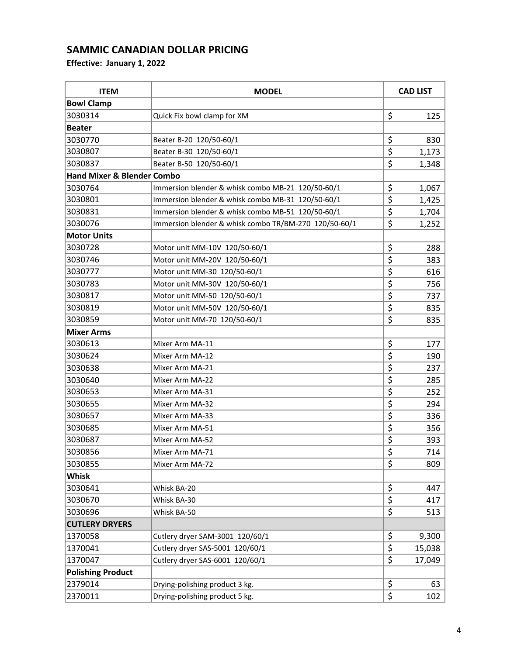| <b>ITEM</b>                           | <b>MODEL</b>                                          | <b>CAD LIST</b>                     |        |
|---------------------------------------|-------------------------------------------------------|-------------------------------------|--------|
| <b>Bowl Clamp</b>                     |                                                       |                                     |        |
| 3030314                               | Quick Fix bowl clamp for XM                           | \$                                  | 125    |
| <b>Beater</b>                         |                                                       |                                     |        |
| 3030770                               | Beater B-20 120/50-60/1                               | \$                                  | 830    |
| 3030807                               | Beater B-30 120/50-60/1                               | \$                                  | 1,173  |
| 3030837                               | Beater B-50 120/50-60/1                               | $\overline{\boldsymbol{\varsigma}}$ | 1,348  |
| <b>Hand Mixer &amp; Blender Combo</b> |                                                       |                                     |        |
| 3030764                               | Immersion blender & whisk combo MB-21 120/50-60/1     | \$                                  | 1,067  |
| 3030801                               | Immersion blender & whisk combo MB-31 120/50-60/1     | \$                                  | 1,425  |
| 3030831                               | Immersion blender & whisk combo MB-51 120/50-60/1     | \$                                  | 1,704  |
| 3030076                               | Immersion blender & whisk combo TR/BM-270 120/50-60/1 | \$                                  | 1,252  |
| <b>Motor Units</b>                    |                                                       |                                     |        |
| 3030728                               | Motor unit MM-10V 120/50-60/1                         | \$                                  | 288    |
| 3030746                               | Motor unit MM-20V 120/50-60/1                         | $\overline{\boldsymbol{\varsigma}}$ | 383    |
| 3030777                               | Motor unit MM-30 120/50-60/1                          | \$                                  | 616    |
| 3030783                               | Motor unit MM-30V 120/50-60/1                         | \$                                  | 756    |
| 3030817                               | Motor unit MM-50 120/50-60/1                          | \$                                  | 737    |
| 3030819                               | Motor unit MM-50V 120/50-60/1                         | $\overline{\boldsymbol{\varsigma}}$ | 835    |
| 3030859                               | Motor unit MM-70 120/50-60/1                          | \$                                  | 835    |
| <b>Mixer Arms</b>                     |                                                       |                                     |        |
| 3030613                               | Mixer Arm MA-11                                       | \$                                  | 177    |
| 3030624                               | Mixer Arm MA-12                                       | \$                                  | 190    |
| 3030638                               | Mixer Arm MA-21                                       | \$                                  | 237    |
| 3030640                               | Mixer Arm MA-22                                       | \$                                  | 285    |
| 3030653                               | Mixer Arm MA-31                                       | $\overline{\boldsymbol{\varsigma}}$ | 252    |
| 3030655                               | Mixer Arm MA-32                                       | \$                                  | 294    |
| 3030657                               | Mixer Arm MA-33                                       | \$                                  | 336    |
| 3030685                               | Mixer Arm MA-51                                       | \$                                  | 356    |
| 3030687                               | Mixer Arm MA-52                                       | \$                                  | 393    |
| 3030856                               | Mixer Arm MA-71                                       | \$                                  | 714    |
| 3030855                               | Mixer Arm MA-72                                       | \$                                  | 809    |
| <b>Whisk</b>                          |                                                       |                                     |        |
| 3030641                               | Whisk BA-20                                           | \$                                  | 447    |
| 3030670                               | Whisk BA-30                                           | \$                                  | 417    |
| 3030696                               | Whisk BA-50                                           | \$                                  | 513    |
| <b>CUTLERY DRYERS</b>                 |                                                       |                                     |        |
| 1370058                               | Cutlery dryer SAM-3001 120/60/1                       | \$                                  | 9,300  |
| 1370041                               | Cutlery dryer SAS-5001 120/60/1                       | \$                                  | 15,038 |
| 1370047                               | Cutlery dryer SAS-6001 120/60/1                       | \$                                  | 17,049 |
| <b>Polishing Product</b>              |                                                       |                                     |        |
| 2379014                               | Drying-polishing product 3 kg.                        | \$                                  | 63     |
| 2370011                               | Drying-polishing product 5 kg.                        | \$                                  | 102    |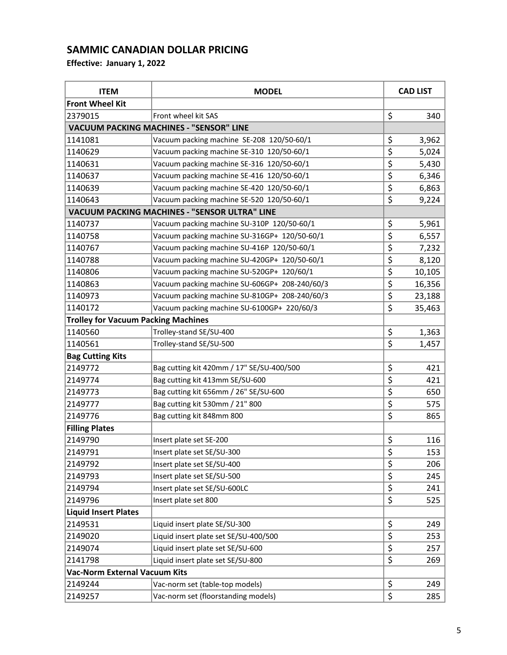| <b>ITEM</b>                                | <b>MODEL</b>                                         |                                 | <b>CAD LIST</b> |  |
|--------------------------------------------|------------------------------------------------------|---------------------------------|-----------------|--|
| <b>Front Wheel Kit</b>                     |                                                      |                                 |                 |  |
| 2379015                                    | Front wheel kit SAS                                  | \$                              | 340             |  |
|                                            | <b>VACUUM PACKING MACHINES - "SENSOR" LINE</b>       |                                 |                 |  |
| 1141081                                    | Vacuum packing machine SE-208 120/50-60/1            | \$                              | 3,962           |  |
| 1140629                                    | Vacuum packing machine SE-310 120/50-60/1            | $\overline{\xi}$                | 5,024           |  |
| 1140631                                    | Vacuum packing machine SE-316 120/50-60/1            | \$                              | 5,430           |  |
| 1140637                                    | Vacuum packing machine SE-416 120/50-60/1            | \$                              | 6,346           |  |
| 1140639                                    | Vacuum packing machine SE-420 120/50-60/1            | $\overline{\xi}$                | 6,863           |  |
| 1140643                                    | Vacuum packing machine SE-520 120/50-60/1            | \$                              | 9,224           |  |
|                                            | <b>VACUUM PACKING MACHINES - "SENSOR ULTRA" LINE</b> |                                 |                 |  |
| 1140737                                    | Vacuum packing machine SU-310P 120/50-60/1           | \$                              | 5,961           |  |
| 1140758                                    | Vacuum packing machine SU-316GP+ 120/50-60/1         | \$                              | 6,557           |  |
| 1140767                                    | Vacuum packing machine SU-416P 120/50-60/1           | \$                              | 7,232           |  |
| 1140788                                    | Vacuum packing machine SU-420GP+ 120/50-60/1         | \$                              | 8,120           |  |
| 1140806                                    | Vacuum packing machine SU-520GP+ 120/60/1            | \$                              | 10,105          |  |
| 1140863                                    | Vacuum packing machine SU-606GP+ 208-240/60/3        | \$                              | 16,356          |  |
| 1140973                                    | Vacuum packing machine SU-810GP+ 208-240/60/3        | \$                              | 23,188          |  |
| 1140172                                    | Vacuum packing machine SU-6100GP+ 220/60/3           | \$                              | 35,463          |  |
| <b>Trolley for Vacuum Packing Machines</b> |                                                      |                                 |                 |  |
| 1140560                                    | Trolley-stand SE/SU-400                              | \$                              | 1,363           |  |
| 1140561                                    | Trolley-stand SE/SU-500                              | \$                              | 1,457           |  |
| <b>Bag Cutting Kits</b>                    |                                                      |                                 |                 |  |
| 2149772                                    | Bag cutting kit 420mm / 17" SE/SU-400/500            | \$                              | 421             |  |
| 2149774                                    | Bag cutting kit 413mm SE/SU-600                      | $\overline{\xi}$                | 421             |  |
| 2149773                                    | Bag cutting kit 656mm / 26" SE/SU-600                | \$                              | 650             |  |
| 2149777                                    | Bag cutting kit 530mm / 21" 800                      | \$                              | 575             |  |
| 2149776                                    | Bag cutting kit 848mm 800                            | \$                              | 865             |  |
| <b>Filling Plates</b>                      |                                                      |                                 |                 |  |
| 2149790                                    | Insert plate set SE-200                              | \$                              | 116             |  |
| 2149791                                    | Insert plate set SE/SU-300                           | \$                              | 153             |  |
| 2149792                                    | Insert plate set SE/SU-400                           | \$                              | 206             |  |
| 2149793                                    | Insert plate set SE/SU-500                           | \$                              | 245             |  |
| 2149794                                    | Insert plate set SE/SU-600LC                         | $\overline{\boldsymbol{\zeta}}$ | 241             |  |
| 2149796                                    | Insert plate set 800                                 | \$                              | 525             |  |
| <b>Liquid Insert Plates</b>                |                                                      |                                 |                 |  |
| 2149531                                    | Liquid insert plate SE/SU-300                        | \$                              | 249             |  |
| 2149020                                    | Liquid insert plate set SE/SU-400/500                | $\overline{\boldsymbol{\zeta}}$ | 253             |  |
| 2149074                                    | Liquid insert plate set SE/SU-600                    | $\overline{\boldsymbol{\zeta}}$ | 257             |  |
| 2141798                                    | Liquid insert plate set SE/SU-800                    | \$                              | 269             |  |
| <b>Vac-Norm External Vacuum Kits</b>       |                                                      |                                 |                 |  |
| 2149244                                    | Vac-norm set (table-top models)                      | \$                              | 249             |  |
| 2149257                                    | Vac-norm set (floorstanding models)                  | \$                              | 285             |  |